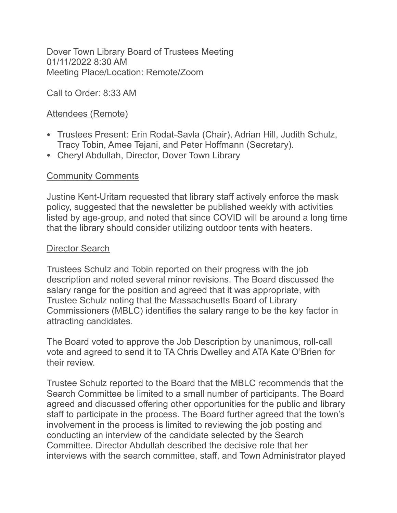Dover Town Library Board of Trustees Meeting 01/11/2022 8:30 AM Meeting Place/Location: Remote/Zoom

Call to Order: 8:33 AM

## Attendees (Remote)

- Trustees Present: Erin Rodat-Savla (Chair), Adrian Hill, Judith Schulz, Tracy Tobin, Amee Tejani, and Peter Hoffmann (Secretary).
- Cheryl Abdullah, Director, Dover Town Library

## **Community Comments**

Justine Kent-Uritam requested that library staff actively enforce the mask policy, suggested that the newsletter be published weekly with activities listed by age-group, and noted that since COVID will be around a long time that the library should consider utilizing outdoor tents with heaters.

## Director Search

Trustees Schulz and Tobin reported on their progress with the job description and noted several minor revisions. The Board discussed the salary range for the position and agreed that it was appropriate, with Trustee Schulz noting that the Massachusetts Board of Library Commissioners (MBLC) identifies the salary range to be the key factor in attracting candidates.

The Board voted to approve the Job Description by unanimous, roll-call vote and agreed to send it to TA Chris Dwelley and ATA Kate O'Brien for their review.

Trustee Schulz reported to the Board that the MBLC recommends that the Search Committee be limited to a small number of participants. The Board agreed and discussed offering other opportunities for the public and library staff to participate in the process. The Board further agreed that the town's involvement in the process is limited to reviewing the job posting and conducting an interview of the candidate selected by the Search Committee. Director Abdullah described the decisive role that her interviews with the search committee, staff, and Town Administrator played